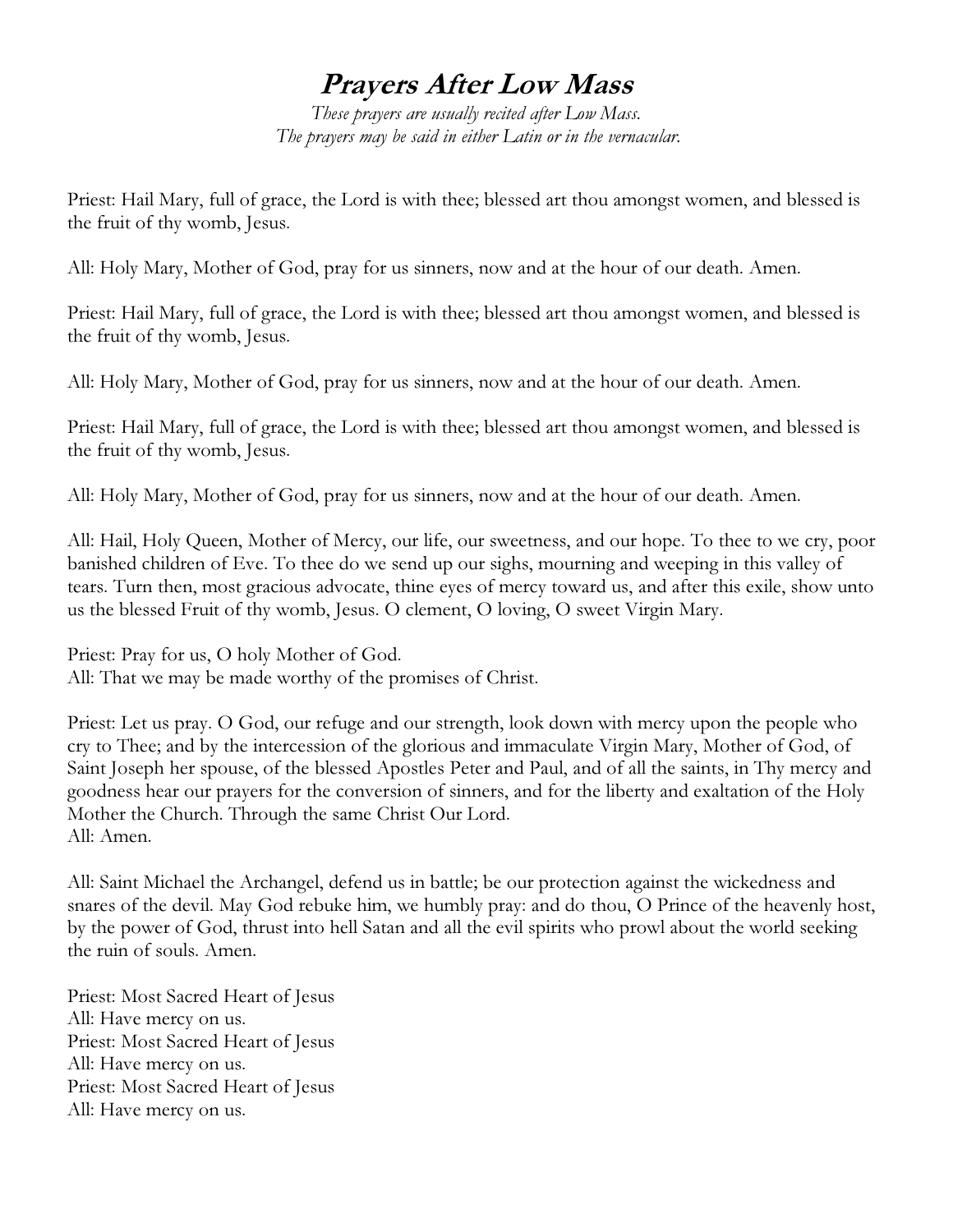## Prayers After Low Mass

These prayers are usually recited after Low Mass. The prayers may be said in either Latin or in the vernacular.

Priest: Hail Mary, full of grace, the Lord is with thee; blessed art thou amongst women, and blessed is the fruit of thy womb, Jesus.

All: Holy Mary, Mother of God, pray for us sinners, now and at the hour of our death. Amen.

Priest: Hail Mary, full of grace, the Lord is with thee; blessed art thou amongst women, and blessed is the fruit of thy womb, Jesus.

All: Holy Mary, Mother of God, pray for us sinners, now and at the hour of our death. Amen.

Priest: Hail Mary, full of grace, the Lord is with thee; blessed art thou amongst women, and blessed is the fruit of thy womb, Jesus.

All: Holy Mary, Mother of God, pray for us sinners, now and at the hour of our death. Amen.

All: Hail, Holy Queen, Mother of Mercy, our life, our sweetness, and our hope. To thee to we cry, poor banished children of Eve. To thee do we send up our sighs, mourning and weeping in this valley of tears. Turn then, most gracious advocate, thine eyes of mercy toward us, and after this exile, show unto us the blessed Fruit of thy womb, Jesus. O clement, O loving, O sweet Virgin Mary.

Priest: Pray for us, O holy Mother of God. All: That we may be made worthy of the promises of Christ.

Priest: Let us pray. O God, our refuge and our strength, look down with mercy upon the people who cry to Thee; and by the intercession of the glorious and immaculate Virgin Mary, Mother of God, of Saint Joseph her spouse, of the blessed Apostles Peter and Paul, and of all the saints, in Thy mercy and goodness hear our prayers for the conversion of sinners, and for the liberty and exaltation of the Holy Mother the Church. Through the same Christ Our Lord. All: Amen.

All: Saint Michael the Archangel, defend us in battle; be our protection against the wickedness and snares of the devil. May God rebuke him, we humbly pray: and do thou, O Prince of the heavenly host, by the power of God, thrust into hell Satan and all the evil spirits who prowl about the world seeking the ruin of souls. Amen.

Priest: Most Sacred Heart of Jesus All: Have mercy on us. Priest: Most Sacred Heart of Jesus All: Have mercy on us. Priest: Most Sacred Heart of Jesus All: Have mercy on us.